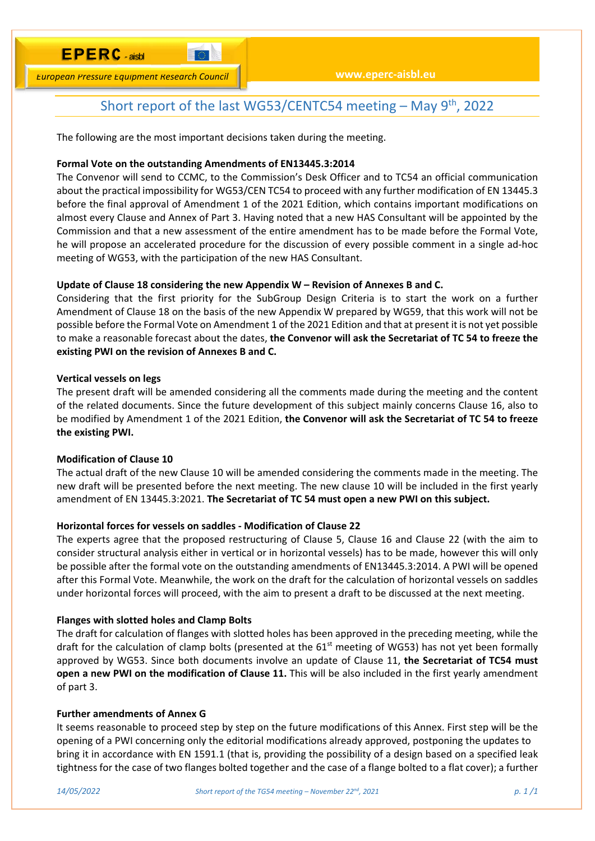# **E P E R C** - aisbl

*European Pressure Equipment Research Council*

## Short report of the last WG53/CENTC54 meeting  $-$  May 9<sup>th</sup>, 2022

The following are the most important decisions taken during the meeting.

### **Formal Vote on the outstanding Amendments of EN13445.3:2014**

**To a** 

The Convenor will send to CCMC, to the Commission's Desk Officer and to TC54 an official communication about the practical impossibility for WG53/CEN TC54 to proceed with any further modification of EN 13445.3 before the final approval of Amendment 1 of the 2021 Edition, which contains important modifications on almost every Clause and Annex of Part 3. Having noted that a new HAS Consultant will be appointed by the Commission and that a new assessment of the entire amendment has to be made before the Formal Vote, he will propose an accelerated procedure for the discussion of every possible comment in a single ad‐hoc meeting of WG53, with the participation of the new HAS Consultant.

### **Update of Clause 18 considering the new Appendix W – Revision of Annexes B and C.**

Considering that the first priority for the SubGroup Design Criteria is to start the work on a further Amendment of Clause 18 on the basis of the new Appendix W prepared by WG59, that this work will not be possible before the Formal Vote on Amendment 1 of the 2021 Edition and that at present it is not yet possible to make a reasonable forecast about the dates, **the Convenor will ask the Secretariat of TC 54 to freeze the existing PWI on the revision of Annexes B and C.** 

### **Vertical vessels on legs**

The present draft will be amended considering all the comments made during the meeting and the content of the related documents. Since the future development of this subject mainly concerns Clause 16, also to be modified by Amendment 1 of the 2021 Edition, **the Convenor will ask the Secretariat of TC 54 to freeze the existing PWI.** 

## **Modification of Clause 10**

The actual draft of the new Clause 10 will be amended considering the comments made in the meeting. The new draft will be presented before the next meeting. The new clause 10 will be included in the first yearly amendment of EN 13445.3:2021. **The Secretariat of TC 54 must open a new PWI on this subject.** 

## **Horizontal forces for vessels on saddles ‐ Modification of Clause 22**

The experts agree that the proposed restructuring of Clause 5, Clause 16 and Clause 22 (with the aim to consider structural analysis either in vertical or in horizontal vessels) has to be made, however this will only be possible after the formal vote on the outstanding amendments of EN13445.3:2014. A PWI will be opened after this Formal Vote. Meanwhile, the work on the draft for the calculation of horizontal vessels on saddles under horizontal forces will proceed, with the aim to present a draft to be discussed at the next meeting.

### **Flanges with slotted holes and Clamp Bolts**

The draft for calculation of flanges with slotted holes has been approved in the preceding meeting, while the draft for the calculation of clamp bolts (presented at the  $61<sup>st</sup>$  meeting of WG53) has not yet been formally approved by WG53. Since both documents involve an update of Clause 11, **the Secretariat of TC54 must open a new PWI on the modification of Clause 11.** This will be also included in the first yearly amendment of part 3.

#### **Further amendments of Annex G**

It seems reasonable to proceed step by step on the future modifications of this Annex. First step will be the opening of a PWI concerning only the editorial modifications already approved, postponing the updates to bring it in accordance with EN 1591.1 (that is, providing the possibility of a design based on a specified leak tightness for the case of two flanges bolted together and the case of a flange bolted to a flat cover); a further